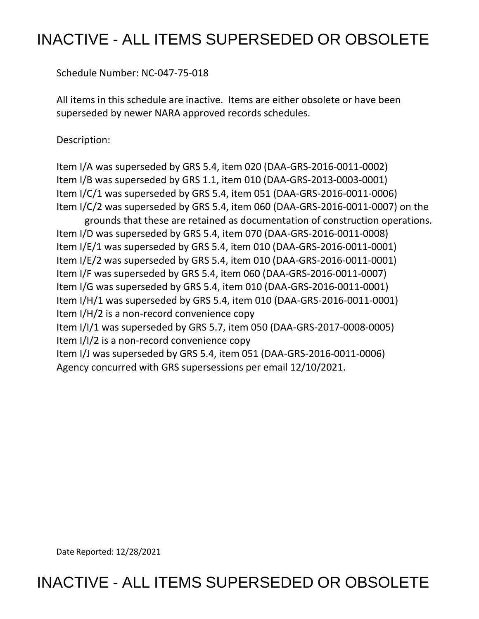## INACTIVE - ALL ITEMS SUPERSEDED OR OBSOLETE

Schedule Number: NC-047-75-018

 All items in this schedule are inactive. Items are either obsolete or have been superseded by newer NARA approved records schedules.

Description:

 Item I/A was superseded by GRS 5.4, item 020 (DAA-GRS-2016-0011-0002) Item I/B was superseded by GRS 1.1, item 010 (DAA-GRS-2013-0003-0001) Item I/C/1 was superseded by GRS 5.4, item 051 (DAA-GRS-2016-0011-0006) Item I/C/2 was superseded by GRS 5.4, item 060 (DAA-GRS-2016-0011-0007) on the grounds that these are retained as documentation of construction operations. Item I/D was superseded by GRS 5.4, item 070 (DAA-GRS-2016-0011-0008) Item I/E/1 was superseded by GRS 5.4, item 010 (DAA-GRS-2016-0011-0001) Item I/E/2 was superseded by GRS 5.4, item 010 (DAA-GRS-2016-0011-0001) Item I/F was superseded by GRS 5.4, item 060 (DAA-GRS-2016-0011-0007) Item I/G was superseded by GRS 5.4, item 010 (DAA-GRS-2016-0011-0001) Item I/H/1 was superseded by GRS 5.4, item 010 (DAA-GRS-2016-0011-0001) Item I/H/2 is a non-record convenience copy Item I/I/1 was superseded by GRS 5.7, item 050 (DAA-GRS-2017-0008-0005) Item I/I/2 is a non-record convenience copy Item I/J was superseded by GRS 5.4, item 051 (DAA-GRS-2016-0011-0006) Agency concurred with GRS supersessions per email 12/10/2021.

Date Reported: 12/28/2021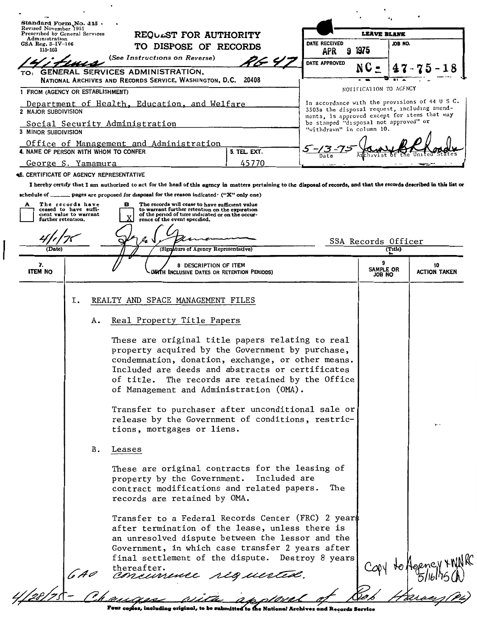| Revised November 1951                                                                                             | Standard Form No. 115 .                                                                               |        |                                                |  |                                                                                                                                                                                                                                |                                                                                        |            |                                                                                                                                                                                                                                                                                                                                                                             |  |                                |                                                                                                                                                |
|-------------------------------------------------------------------------------------------------------------------|-------------------------------------------------------------------------------------------------------|--------|------------------------------------------------|--|--------------------------------------------------------------------------------------------------------------------------------------------------------------------------------------------------------------------------------|----------------------------------------------------------------------------------------|------------|-----------------------------------------------------------------------------------------------------------------------------------------------------------------------------------------------------------------------------------------------------------------------------------------------------------------------------------------------------------------------------|--|--------------------------------|------------------------------------------------------------------------------------------------------------------------------------------------|
| Prescribed by General Services<br>Administration<br>GSA Reg. 3–IV–106<br>115-103<br>(See Instructions on Reverse) |                                                                                                       |        | REQUEST FOR AUTHORITY<br>TO DISPOSE OF RECORDS |  |                                                                                                                                                                                                                                | DATE RECEIVED                                                                          |            | <b>LEAVE BLANK</b><br>JOB NO.                                                                                                                                                                                                                                                                                                                                               |  |                                |                                                                                                                                                |
|                                                                                                                   |                                                                                                       |        |                                                |  |                                                                                                                                                                                                                                |                                                                                        | <b>APR</b> | 9 1975                                                                                                                                                                                                                                                                                                                                                                      |  |                                |                                                                                                                                                |
|                                                                                                                   |                                                                                                       |        |                                                |  |                                                                                                                                                                                                                                | 7.F 4.T                                                                                |            | DATE APPROVED                                                                                                                                                                                                                                                                                                                                                               |  |                                |                                                                                                                                                |
|                                                                                                                   | TO: GENERAL SERVICES ADMINISTRATION,<br>NATIONAL ARCHIVES AND RECORDS SERVICE, WASHINGTON, D.C. 20408 |        |                                                |  |                                                                                                                                                                                                                                |                                                                                        |            |                                                                                                                                                                                                                                                                                                                                                                             |  |                                |                                                                                                                                                |
|                                                                                                                   | 1 FROM (AGENCY OR ESTABLISHMENT)                                                                      |        |                                                |  |                                                                                                                                                                                                                                |                                                                                        |            |                                                                                                                                                                                                                                                                                                                                                                             |  | NOTIFICATION TO AGFNCY         |                                                                                                                                                |
| 2 MAJOR SUBDIVISION                                                                                               | Department of Health, Education, and Welfare                                                          |        |                                                |  |                                                                                                                                                                                                                                |                                                                                        |            |                                                                                                                                                                                                                                                                                                                                                                             |  |                                | In accordance with the provisions of 44 U S C.<br>3303a the disposal request, including amend-<br>ments, is approved except for items that may |
| 3 MINOR SUBDIVISION                                                                                               | Social Security Administration                                                                        |        |                                                |  |                                                                                                                                                                                                                                |                                                                                        |            | be stamped "disposal not approved" or<br>"withdrawn" in column 10.                                                                                                                                                                                                                                                                                                          |  |                                |                                                                                                                                                |
|                                                                                                                   | Office of Management and Administration<br>4. NAME OF PERSON WITH WHOM TO CONFER                      |        |                                                |  |                                                                                                                                                                                                                                | 5. TEL. EXT.                                                                           |            |                                                                                                                                                                                                                                                                                                                                                                             |  |                                |                                                                                                                                                |
|                                                                                                                   | <u>George S. Yamamura</u>                                                                             |        |                                                |  |                                                                                                                                                                                                                                | 45770                                                                                  |            |                                                                                                                                                                                                                                                                                                                                                                             |  |                                |                                                                                                                                                |
|                                                                                                                   | <b>46. CERTIFICATE OF AGENCY REPRESENTATIVE</b>                                                       |        |                                                |  |                                                                                                                                                                                                                                |                                                                                        |            |                                                                                                                                                                                                                                                                                                                                                                             |  |                                |                                                                                                                                                |
| (Date)                                                                                                            | The records have<br>ceased to have suffi-<br>cient value to warrant<br>further retention.             | в      |                                                |  | The records will cease to have sufficient value<br>to warrant further retention on the expiration<br>of the period of time indicated or on the occur-<br>rence of the event specified.<br>(Signature of Agency Representative) |                                                                                        |            |                                                                                                                                                                                                                                                                                                                                                                             |  | SSA Records Officer<br>(Title) |                                                                                                                                                |
|                                                                                                                   |                                                                                                       |        |                                                |  |                                                                                                                                                                                                                                |                                                                                        |            |                                                                                                                                                                                                                                                                                                                                                                             |  |                                |                                                                                                                                                |
| 7.<br><b>ITEM NO</b>                                                                                              |                                                                                                       |        |                                                |  | 8 DESCRIPTION OF ITEM                                                                                                                                                                                                          | WATH Inclusive Dates or Retention Periods)                                             |            |                                                                                                                                                                                                                                                                                                                                                                             |  | 9<br>SAMPLE OR<br>JOB NO       | 10<br><b>ACTION TAKEN</b>                                                                                                                      |
|                                                                                                                   | А.                                                                                                    |        |                                                |  | Real Property Title Papers<br>tions, mortgages or liens.                                                                                                                                                                       | of Management and Administration (OMA).                                                |            | These are original title papers relating to real<br>property acquired by the Government by purchase,<br>condemnation, donation, exchange, or other means.<br>Included are deeds and abstracts or certificates<br>of title. The records are retained by the Office<br>Transfer to purchaser after unconditional sale or<br>release by the Government of conditions, restric- |  |                                | $\mathbf{r}$ .                                                                                                                                 |
|                                                                                                                   | В.                                                                                                    | Leases |                                                |  |                                                                                                                                                                                                                                |                                                                                        |            |                                                                                                                                                                                                                                                                                                                                                                             |  |                                |                                                                                                                                                |
|                                                                                                                   |                                                                                                       |        |                                                |  | records are retained by OMA.                                                                                                                                                                                                   | property by the Government. Included are<br>contract modifications and related papers. |            | These are original contracts for the leasing of<br>The                                                                                                                                                                                                                                                                                                                      |  |                                |                                                                                                                                                |
|                                                                                                                   |                                                                                                       |        |                                                |  |                                                                                                                                                                                                                                |                                                                                        |            | Transfer to a Federal Records Center (FRC) 2 years<br>after termination of the lease, unless there is<br>an unresolved dispute between the lessor and the<br>Government, in which case transfer 2 years after<br>final settlement of the dispute. Destroy 8 years                                                                                                           |  |                                |                                                                                                                                                |
|                                                                                                                   |                                                                                                       |        | thereafter.                                    |  |                                                                                                                                                                                                                                | concurrence riguer                                                                     |            |                                                                                                                                                                                                                                                                                                                                                                             |  |                                |                                                                                                                                                |
|                                                                                                                   |                                                                                                       |        |                                                |  |                                                                                                                                                                                                                                |                                                                                        |            |                                                                                                                                                                                                                                                                                                                                                                             |  |                                |                                                                                                                                                |

╱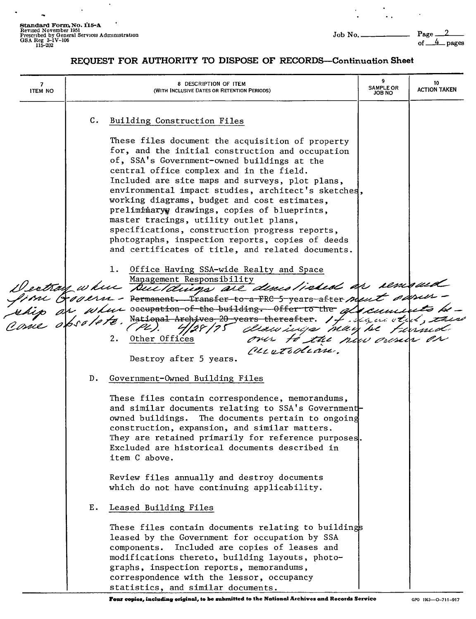**Standard Form. No. 115-A**<br>Revised November 1951<br>Prescribed by General Services Administration<br>OSA Reg 3-IV-106 of <u>\_\_4</u> pages 115-202 of <u>\_\_4</u> pages

 $\ddot{\phantom{a}}$ 

 $\blacksquare$ 

 $\tilde{\phantom{a}}$ 

 $\langle \cdot \rangle$ 

 $\label{eq:2.1} \frac{1}{2} \int_{\mathbb{R}^3} \frac{d^2\mathbf{r}}{|\mathbf{r}|^2} \, \mathrm{d}\mathbf{r} \, \mathrm{d}\mathbf{r} \, \mathrm{d}\mathbf{r} \, \mathrm{d}\mathbf{r} \, \mathrm{d}\mathbf{r} \, \mathrm{d}\mathbf{r} \, \mathrm{d}\mathbf{r} \, \mathrm{d}\mathbf{r} \, \mathrm{d}\mathbf{r} \, \mathrm{d}\mathbf{r} \, \mathrm{d}\mathbf{r} \, \mathrm{d}\mathbf{r} \, \mathrm{d}\mathbf{r} \, \mathrm{d}\mathbf{r} \,$ 

## **REQUEST FOR AUTHORITY TO DISPOSE OF RECORDS-Continuation Sheet**

| 7<br><b>ITEM NO</b> | 8 DESCRIPTION OF ITEM<br>(WITH INCLUSIVE DATES OR RETENTION PERIODS)                                                                                                                                                                                                                                                                                                                                                                                                                                                                                                                                                                                                                                                                                                                                                                                                      | <b>SAMPLE OR</b><br><b>JOB NO</b> | 10<br><b>ACTION TAKEN</b> |
|---------------------|---------------------------------------------------------------------------------------------------------------------------------------------------------------------------------------------------------------------------------------------------------------------------------------------------------------------------------------------------------------------------------------------------------------------------------------------------------------------------------------------------------------------------------------------------------------------------------------------------------------------------------------------------------------------------------------------------------------------------------------------------------------------------------------------------------------------------------------------------------------------------|-----------------------------------|---------------------------|
|                     | C. Building Construction Files<br>These files document the acquisition of property<br>for, and the initial construction and occupation<br>of, SSA's Government-owned buildings at the<br>central office complex and in the field.<br>Included are site maps and surveys, plot plans,<br>environmental impact studies, architect's sketches,<br>working diagrams, budget and cost estimates,<br>preliminary drawings, copies of blueprints,<br>master tracings, utility outlet plans,<br>specifications, construction progress reports,<br>photographs, inspection reports, copies of deeds<br>and certificates of title, and related documents.<br>Office Having SSA-wide Realty and Space<br>Management Responsibility<br>Dectroy where The Reponsibility and indeed as removed<br>Puertodian.<br>Destroy after 5 years.                                                 |                                   |                           |
|                     | $D_{\bullet}$<br>Government-Owned Building Files<br>These files contain correspondence, memorandums,<br>and similar documents relating to SSA's Government-<br>owned buildings.<br>The documents pertain to ongoing<br>construction, expansion, and similar matters.<br>They are retained primarily for reference purposes<br>Excluded are historical documents described in<br>item C above.<br>Review files annually and destroy documents<br>which do not have continuing applicability.<br>Leased Building Files<br>Е.<br>These files contain documents relating to buildings<br>leased by the Government for occupation by SSA<br>Included are copies of leases and<br>components.<br>modifications thereto, building layouts, photo-<br>graphs, inspection reports, memorandums,<br>correspondence with the lessor, occupancy<br>statistics, and similar documents. |                                   |                           |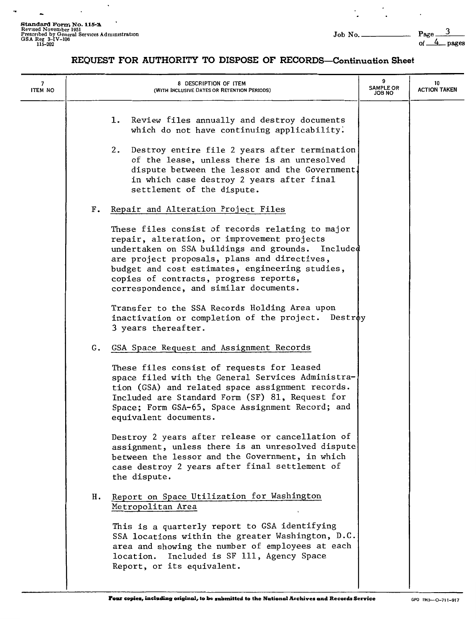$\overline{\phantom{a}}$ 

 $\overline{\phantom{a}}$ 

 $\Box$ 

 $\cdot$ 

ä,

 $\ddot{\phantom{a}}$ 

 $\ddot{\phantom{a}}$ 

## **REQUEST FOR AUTHORITY TO DISPOSE OF RECORDS-Continuation Sheet**

| 7<br><b>ITEM NO</b> |               | 8 DESCRIPTION OF ITEM<br>(WITH INCLUSIVE DATES OR RETENTION PERIODS)                                                                                                                                                                                                                                                                        | 9<br><b>SAMPLE OR</b><br>JOB NO | 10<br><b>ACTION TAKEN</b> |
|---------------------|---------------|---------------------------------------------------------------------------------------------------------------------------------------------------------------------------------------------------------------------------------------------------------------------------------------------------------------------------------------------|---------------------------------|---------------------------|
|                     |               | Review files annually and destroy documents<br>1.<br>which do not have continuing applicability.<br>2. Destroy entire file 2 years after termination<br>of the lease, unless there is an unresolved<br>dispute between the lessor and the Government.<br>in which case destroy 2 years after final<br>settlement of the dispute.            |                                 |                           |
|                     | $F_{\bullet}$ | Repair and Alteration Project Files                                                                                                                                                                                                                                                                                                         |                                 |                           |
|                     |               | These files consist of records relating to major<br>repair, alteration, or improvement projects<br>undertaken on SSA buildings and grounds. Included<br>are project proposals, plans and directives,<br>budget and cost estimates, engineering studies,<br>copies of contracts, progress reports,<br>correspondence, and similar documents. |                                 |                           |
|                     |               | Transfer to the SSA Records Holding Area upon<br>inactivation or completion of the project. Destroy<br>3 years thereafter.                                                                                                                                                                                                                  |                                 |                           |
|                     |               | G. GSA Space Request and Assignment Records                                                                                                                                                                                                                                                                                                 |                                 |                           |
|                     |               | These files consist of requests for leased<br>space filed with the General Services Administra-<br>tion (GSA) and related space assignment records.<br>Included are Standard Form (SF) 81, Request for<br>Space; Form GSA-65, Space Assignment Record; and<br>equivalent documents.                                                         |                                 |                           |
|                     |               | Destroy 2 years after release or cancellation of<br>assignment, unless there is an unresolved dispute<br>between the lessor and the Government, in which<br>case destroy 2 years after final settlement of<br>the dispute.                                                                                                                  |                                 |                           |
|                     | н.            | Report on Space Utilization for Washington<br>Metropolitan Area                                                                                                                                                                                                                                                                             |                                 |                           |
|                     |               | This is a quarterly report to GSA identifying<br>SSA locations within the greater Washington, D.C.<br>area and showing the number of employees at each<br>Included is SF 111, Agency Space<br>location.<br>Report, or its equivalent.                                                                                                       |                                 |                           |
|                     |               |                                                                                                                                                                                                                                                                                                                                             |                                 |                           |